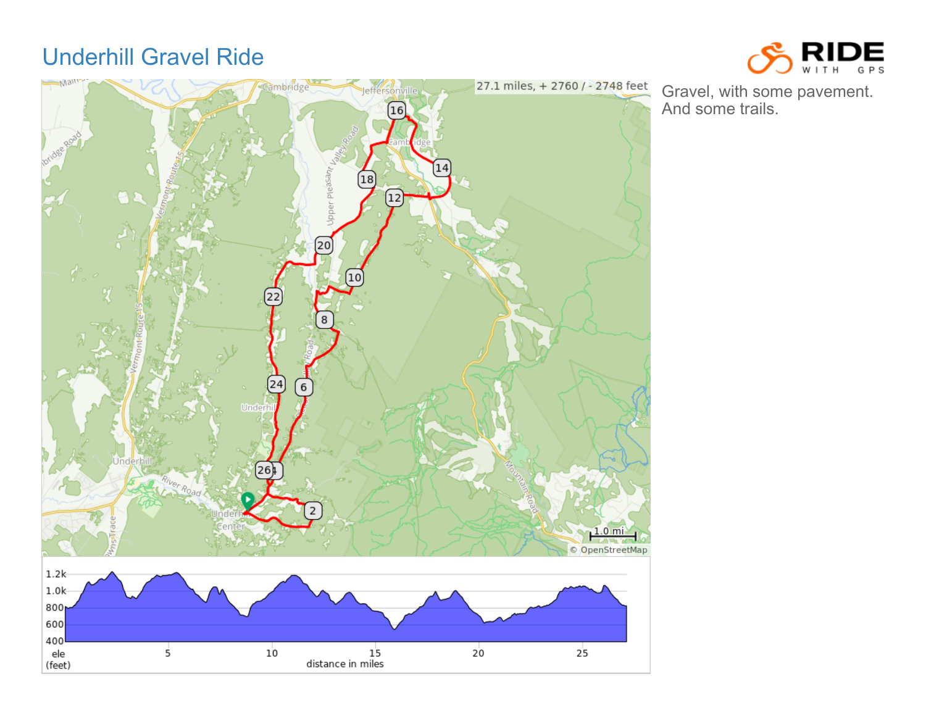## Underhill Gravel Ride





Gravel, with some pavement. And some trails.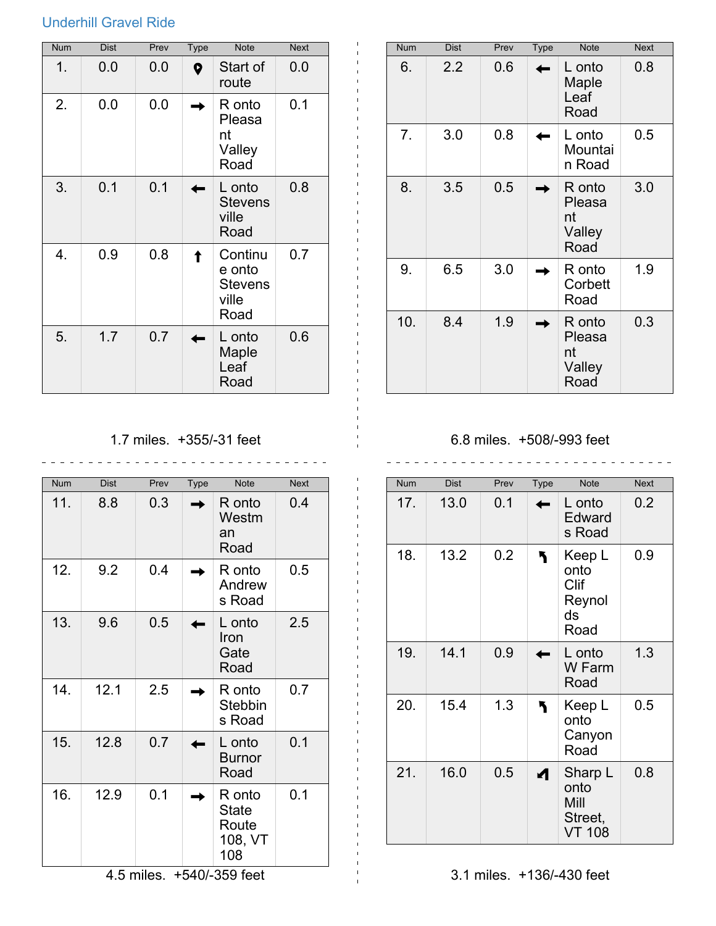## Underhill Gravel Ride

| <b>Num</b> | <b>Dist</b> | Prev | <b>Type</b> | <b>Note</b>                                          | <b>Next</b> |
|------------|-------------|------|-------------|------------------------------------------------------|-------------|
| 1.         | 0.0         | 0.0  | 0           | Start of<br>route                                    | 0.0         |
| 2.         | 0.0         | 0.0  |             | R onto<br>Pleasa<br>nt<br>Valley<br>Road             | 0.1         |
| 3.         | 0.1         | 0.1  |             | L onto<br><b>Stevens</b><br>ville<br>Road            | 0.8         |
| 4.         | 0.9         | 0.8  |             | Continu<br>e onto<br><b>Stevens</b><br>ville<br>Road | 0.7         |
| 5.         | 1.7         | 0.7  |             | L onto<br>Maple<br>Leaf<br>Road                      | 0.6         |

| <b>Num</b> | <b>Dist</b> | Prev | <b>Type</b> | <b>Note</b>                              | <b>Next</b> |
|------------|-------------|------|-------------|------------------------------------------|-------------|
| 6.         | 2.2         | 0.6  |             | L onto<br>Maple<br>Leaf<br>Road          | 0.8         |
| 7.         | 3.0         | 0.8  |             | L onto<br>Mountai<br>n Road              | 0.5         |
| 8.         | 3.5         | 0.5  |             | R onto<br>Pleasa<br>nt<br>Valley<br>Road | 3.0         |
| 9.         | 6.5         | 3.0  |             | R onto<br>Corbett<br>Road                | 1.9         |
| 10.        | 8.4         | 1.9  |             | R onto<br>Pleasa<br>nt<br>Valley<br>Road | 0.3         |

1.7 miles. +355/-31 feet

 $\mathbf{1}$ 

| <b>Num</b> | <b>Dist</b> | Prev       | Type | <b>Note</b>                                       | <b>Next</b> |
|------------|-------------|------------|------|---------------------------------------------------|-------------|
| 11.        | 8.8         | 0.3        |      | R onto<br>Westm<br>an<br>Road                     | 0.4         |
| 12.        | 9.2         | 0.4        |      | R onto<br>Andrew<br>s Road                        | 0.5         |
| 13.        | 9.6         | 0.5        |      | L onto<br>Iron<br>Gate<br>Road                    | 2.5         |
| 14.        | 12.1        | 2.5        |      | R onto<br><b>Stebbin</b><br>s Road                | 0.7         |
| 15.        | 12.8        | 0.7        |      | L onto<br><b>Burnor</b><br>Road                   | 0.1         |
| 16.        | 12.9        | 0.1        |      | R onto<br><b>State</b><br>Route<br>108, VT<br>108 | 0.1         |
|            |             | 4.5 miles. |      | +540/-359 feet                                    |             |

6.8 miles. +508/-993 feet \_\_\_\_\_\_\_\_\_\_\_\_\_\_\_\_\_\_\_\_\_\_\_\_\_\_\_\_\_\_\_\_\_\_\_\_

| <b>Num</b> | Dist | Prev | <b>Type</b> | <b>Note</b>                                         | <b>Next</b> |
|------------|------|------|-------------|-----------------------------------------------------|-------------|
| 17.        | 13.0 | 0.1  |             | L onto<br>Edward<br>s Road                          | 0.2         |
| 18.        | 13.2 | 0.2  |             | Keep L<br>onto<br>Clif<br>Reynol<br>ds<br>Road      | 0.9         |
| 19.        | 14.1 | 0.9  |             | L onto<br>W Farm<br>Road                            | 1.3         |
| 20.        | 15.4 | 1.3  |             | Keep L<br>onto<br>Canyon<br>Road                    | 0.5         |
| 21.        | 16.0 | 0.5  |             | Sharp L<br>onto<br>Mill<br>Street,<br><b>VT 108</b> | 0.8         |